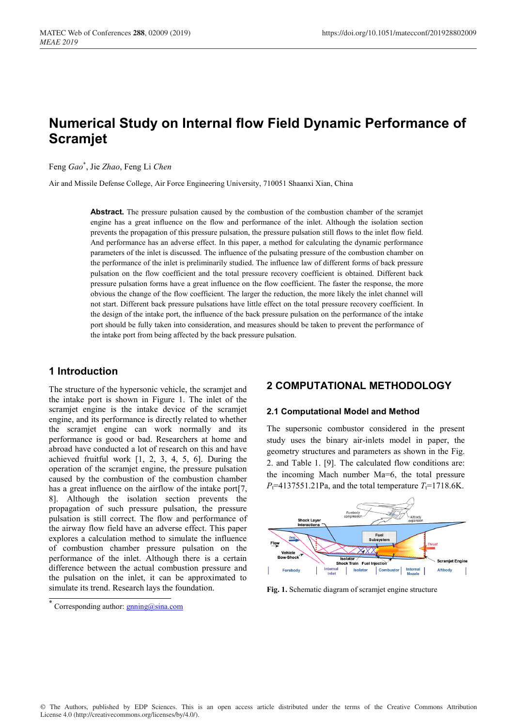# **Numerical Study on Internal flow Field Dynamic Performance of Scramjet**

Feng *Gao*\* , Jie *Zhao*, Feng Li *Chen*

Air and Missile Defense College, Air Force Engineering University, 710051 Shaanxi Xian, China

**Abstract.** The pressure pulsation caused by the combustion of the combustion chamber of the scramjet engine has a great influence on the flow and performance of the inlet. Although the isolation section prevents the propagation of this pressure pulsation, the pressure pulsation still flows to the inlet flow field. And performance has an adverse effect. In this paper, a method for calculating the dynamic performance parameters of the inlet is discussed. The influence of the pulsating pressure of the combustion chamber on the performance of the inlet is preliminarily studied. The influence law of different forms of back pressure pulsation on the flow coefficient and the total pressure recovery coefficient is obtained. Different back pressure pulsation forms have a great influence on the flow coefficient. The faster the response, the more obvious the change of the flow coefficient. The larger the reduction, the more likely the inlet channel will not start. Different back pressure pulsations have little effect on the total pressure recovery coefficient. In the design of the intake port, the influence of the back pressure pulsation on the performance of the intake port should be fully taken into consideration, and measures should be taken to prevent the performance of the intake port from being affected by the back pressure pulsation.

# **1 Introduction**

The structure of the hypersonic vehicle, the scramjet and the intake port is shown in Figure 1. The inlet of the scramjet engine is the intake device of the scramjet engine, and its performance is directly related to whether the scramjet engine can work normally and its performance is good or bad. Researchers at home and abroad have conducted a lot of research on this and have achieved fruitful work [1, 2, 3, 4, 5, 6]. During the operation of the scramjet engine, the pressure pulsation caused by the combustion of the combustion chamber has a great influence on the airflow of the intake port [7]. 8]. Although the isolation section prevents the propagation of such pressure pulsation, the pressure pulsation is still correct. The flow and performance of the airway flow field have an adverse effect. This paper explores a calculation method to simulate the influence of combustion chamber pressure pulsation on the performance of the inlet. Although there is a certain difference between the actual combustion pressure and the pulsation on the inlet, it can be approximated to simulate its trend. Research lays the foundation.

# **2 COMPUTATIONAL METHODOLOGY**

#### **2.1 Computational Model and Method**

The supersonic combustor considered in the present study uses the binary air-inlets model in paper, the geometry structures and parameters as shown in the Fig. 2. and Table 1. [9]. The calculated flow conditions are: the incoming Mach number Ma=6, the total pressure  $P_t$ =4137551.21Pa, and the total temperature  $T_t$ =1718.6K.



**Fig. 1.** Schematic diagram of scramjet engine structure

Corresponding author:  $g$ <sub>nning</sub>@sina.com</sub>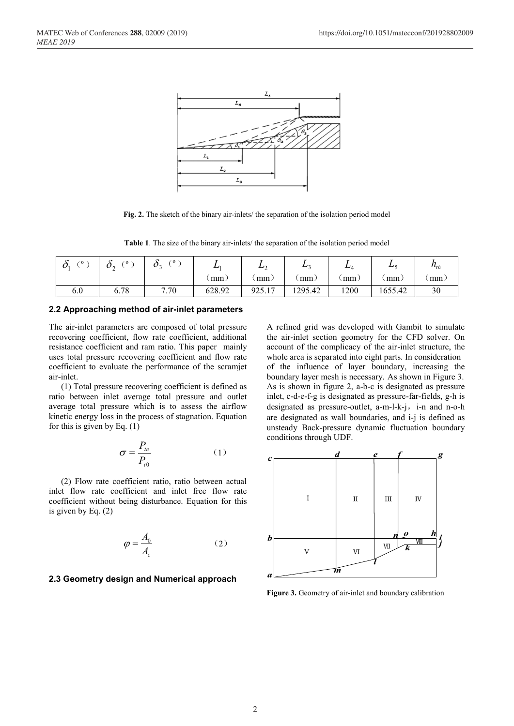

**Fig. 2.** The sketch of the binary air-inlets/ the separation of the isolation period model

**Table 1**. The size of the binary air-inlets/ the separation of the isolation period model

| $^{\circ}$ 0 | $^{\circ}$ 0<br>∪∼<br>∼ | $\sigma$<br>$\boldsymbol{\nu}$ | <u>.</u> | ⊥∿<br>∸ | $\mathbf{L}$ | ∸.   | ப       | $n_{th}$ |
|--------------|-------------------------|--------------------------------|----------|---------|--------------|------|---------|----------|
|              |                         |                                | mm.      | mm      | mm           | mm   | mm      | mm.      |
| 6.0          | 6.78                    | 7.70                           | 628.92   | 925.17  | 1295.42      | 1200 | 1655.42 | 30       |

#### **2.2 Approaching method of air-inlet parameters**

The air-inlet parameters are composed of total pressure recovering coefficient, flow rate coefficient, additional resistance coefficient and ram ratio. This paper mainly uses total pressure recovering coefficient and flow rate coefficient to evaluate the performance of the scramjet air-inlet.

(1) Total pressure recovering coefficient is defined as ratio between inlet average total pressure and outlet average total pressure which is to assess the airflow kinetic energy loss in the process of stagnation. Equation for this is given by Eq. (1)

$$
\sigma = \frac{P_{te}}{P_{t0}}\tag{1}
$$

(2) Flow rate coefficient ratio, ratio between actual inlet flow rate coefficient and inlet free flow rate coefficient without being disturbance. Equation for this is given by Eq. (2)

$$
\varphi = \frac{A_0}{A_c} \tag{2}
$$

#### **2.3 Geometry design and Numerical approach**

A refined grid was developed with Gambit to simulate the air-inlet section geometry for the CFD solver. On account of the complicacy of the air-inlet structure, the whole area is separated into eight parts. In consideration of the influence of layer boundary, increasing the boundary layer mesh is necessary. As shown in Figure 3. As is shown in figure 2, a-b-c is designated as pressure inlet, c-d-e-f-g is designated as pressure-far-fields, g-h is designated as pressure-outlet, a-m-l-k-j, i-n and n-o-h are designated as wall boundaries, and i-j is defined as unsteady Back-pressure dynamic fluctuation boundary conditions through UDF.



**Figure 3.** Geometry of air-inlet and boundary calibration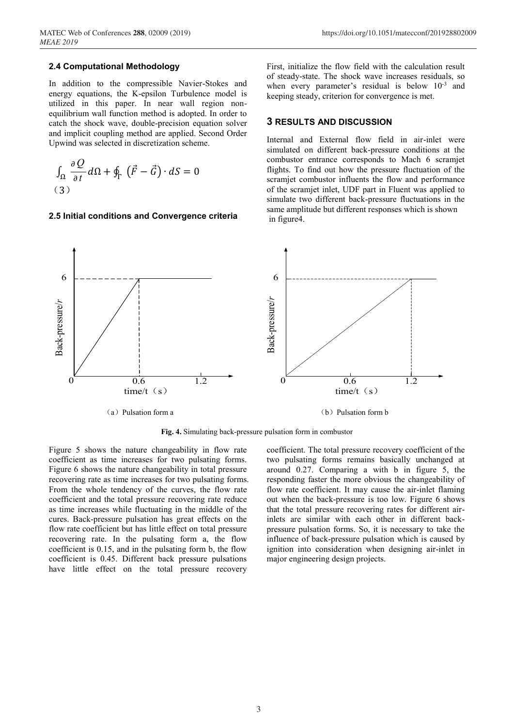#### **2.4 Computational Methodology**

In addition to the compressible Navier-Stokes and energy equations, the K-epsilon Turbulence model is utilized in this paper. In near wall region nonequilibrium wall function method is adopted. In order to catch the shock wave, double-precision equation solver and implicit coupling method are applied. Second Order Upwind was selected in discretization scheme.

$$
\int_{\Omega} \frac{\partial Q}{\partial t} d\Omega + \oint_{\Gamma} (\vec{F} - \vec{G}) \cdot dS = 0
$$
\n(3)

#### **2.5 Initial conditions and Convergence criteria**

First, initialize the flow field with the calculation result of steady-state. The shock wave increases residuals, so when every parameter's residual is below  $10^{-3}$  and keeping steady, criterion for convergence is met.

### **3 RESULTS AND DISCUSSION**

Internal and External flow field in air-inlet were simulated on different back-pressure conditions at the combustor entrance corresponds to Mach 6 scramjet flights. To find out how the pressure fluctuation of the scramjet combustor influents the flow and performance of the scramjet inlet, UDF part in Fluent was applied to simulate two different back-pressure fluctuations in the same amplitude but different responses which is shown in figure4.



**Fig. 4.** Simulating back-pressure pulsation form in combustor

Figure 5 shows the nature changeability in flow rate coefficient as time increases for two pulsating forms. Figure 6 shows the nature changeability in total pressure recovering rate as time increases for two pulsating forms. From the whole tendency of the curves, the flow rate coefficient and the total pressure recovering rate reduce as time increases while fluctuating in the middle of the cures. Back-pressure pulsation has great effects on the flow rate coefficient but has little effect on total pressure recovering rate. In the pulsating form a, the flow coefficient is 0.15, and in the pulsating form b, the flow coefficient is 0.45. Different back pressure pulsations have little effect on the total pressure recovery

coefficient. The total pressure recovery coefficient of the two pulsating forms remains basically unchanged at around 0.27. Comparing a with b in figure 5, the responding faster the more obvious the changeability of flow rate coefficient. It may cause the air-inlet flaming out when the back-pressure is too low. Figure 6 shows that the total pressure recovering rates for different airinlets are similar with each other in different backpressure pulsation forms. So, it is necessary to take the influence of back-pressure pulsation which is caused by ignition into consideration when designing air-inlet in major engineering design projects.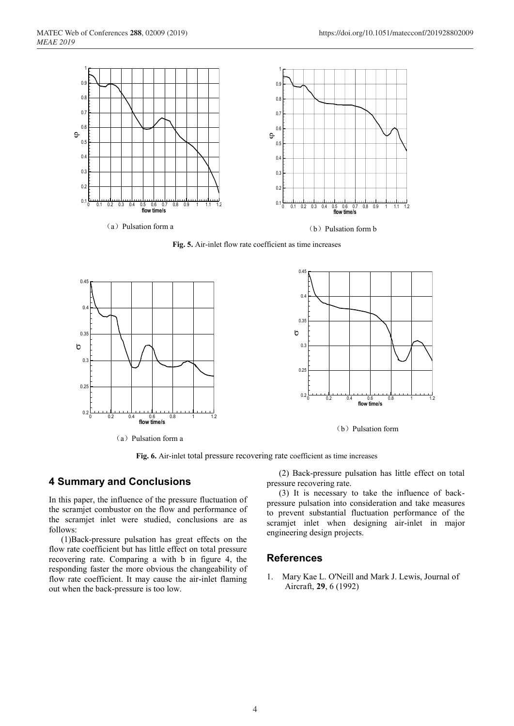

**Fig. 5.** Air-inlet flow rate coefficient as time increases



**Fig. 6.** Air-inlet total pressure recovering rate coefficient as time increases

## **4 Summary and Conclusions**

In this paper, the influence of the pressure fluctuation of the scramjet combustor on the flow and performance of the scramjet inlet were studied, conclusions are as follows:

(1)Back-pressure pulsation has great effects on the flow rate coefficient but has little effect on total pressure recovering rate. Comparing a with b in figure 4, the responding faster the more obvious the changeability of flow rate coefficient. It may cause the air-inlet flaming out when the back-pressure is too low.

(2) Back-pressure pulsation has little effect on total pressure recovering rate.

(3) It is necessary to take the influence of backpressure pulsation into consideration and take measures to prevent substantial fluctuation performance of the scramjet inlet when designing air-inlet in major engineering design projects.

# **References**

1. Mary Kae L. O'Neill and Mark J. Lewis, Journal of Aircraft, **29**, 6 (1992)